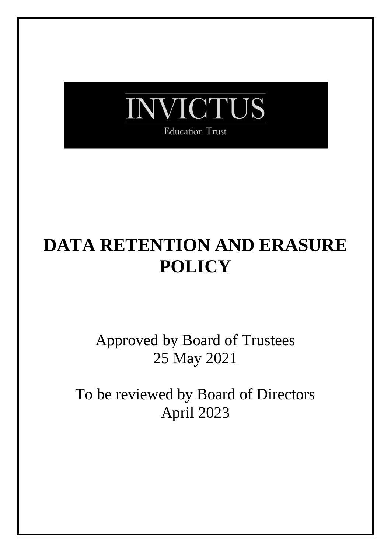

# **DATA RETENTION AND ERASURE POLICY**

Approved by Board of Trustees 25 May 2021

To be reviewed by Board of Directors April 2023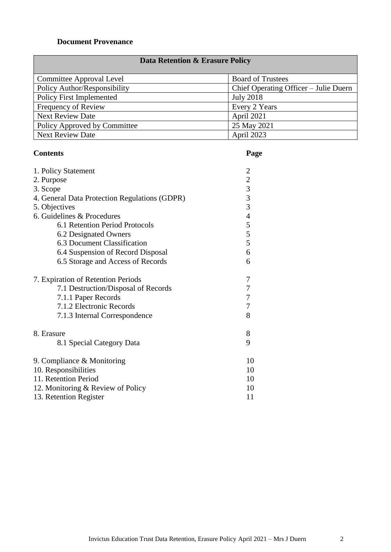# **Document Provenance**

| <b>Data Retention &amp; Erasure Policy</b> |                                       |  |  |  |
|--------------------------------------------|---------------------------------------|--|--|--|
| Committee Approval Level                   | <b>Board of Trustees</b>              |  |  |  |
| Policy Author/Responsibility               | Chief Operating Officer – Julie Duern |  |  |  |
| <b>Policy First Implemented</b>            | <b>July 2018</b>                      |  |  |  |
| <b>Frequency of Review</b>                 | Every 2 Years                         |  |  |  |
| <b>Next Review Date</b>                    | April 2021                            |  |  |  |
| <b>Policy Approved by Committee</b>        | 25 May 2021                           |  |  |  |
| <b>Next Review Date</b>                    | April 2023                            |  |  |  |

# **Contents Page**

| 1. Policy Statement                           | $\overline{2}$                                  |  |  |
|-----------------------------------------------|-------------------------------------------------|--|--|
| 2. Purpose                                    |                                                 |  |  |
| 3. Scope                                      | $\begin{array}{c} 2 \\ 3 \\ 3 \\ 3 \end{array}$ |  |  |
| 4. General Data Protection Regulations (GDPR) |                                                 |  |  |
| 5. Objectives                                 |                                                 |  |  |
| 6. Guidelines & Procedures                    | $\overline{4}$                                  |  |  |
| 6.1 Retention Period Protocols                | 5                                               |  |  |
| 6.2 Designated Owners                         | 5                                               |  |  |
| 6.3 Document Classification                   | 5                                               |  |  |
| 6.4 Suspension of Record Disposal             | 6                                               |  |  |
| 6.5 Storage and Access of Records             |                                                 |  |  |
| 7. Expiration of Retention Periods            | 7                                               |  |  |
| 7.1 Destruction/Disposal of Records           | 7                                               |  |  |
| 7.1.1 Paper Records                           | 7                                               |  |  |
| 7.1.2 Electronic Records                      | $\boldsymbol{7}$                                |  |  |
| 7.1.3 Internal Correspondence                 | 8                                               |  |  |
| 8. Erasure                                    | 8                                               |  |  |
| 8.1 Special Category Data                     | 9                                               |  |  |
| 9. Compliance $&$ Monitoring                  | 10                                              |  |  |
| 10. Responsibilities                          | 10                                              |  |  |
| 11. Retention Period                          |                                                 |  |  |
| 12. Monitoring & Review of Policy             | 10                                              |  |  |
| 13. Retention Register                        | 11                                              |  |  |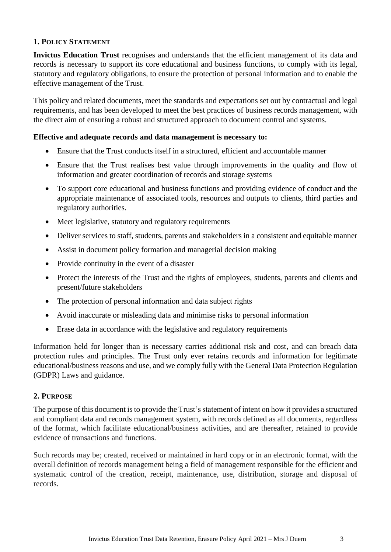#### **1. POLICY STATEMENT**

**Invictus Education Trust** recognises and understands that the efficient management of its data and records is necessary to support its core educational and business functions, to comply with its legal, statutory and regulatory obligations, to ensure the protection of personal information and to enable the effective management of the Trust.

This policy and related documents, meet the standards and expectations set out by contractual and legal requirements, and has been developed to meet the best practices of business records management, with the direct aim of ensuring a robust and structured approach to document control and systems.

#### **Effective and adequate records and data management is necessary to:**

- Ensure that the Trust conducts itself in a structured, efficient and accountable manner
- Ensure that the Trust realises best value through improvements in the quality and flow of information and greater coordination of records and storage systems
- To support core educational and business functions and providing evidence of conduct and the appropriate maintenance of associated tools, resources and outputs to clients, third parties and regulatory authorities.
- Meet legislative, statutory and regulatory requirements
- Deliver services to staff, students, parents and stakeholders in a consistent and equitable manner
- Assist in document policy formation and managerial decision making
- Provide continuity in the event of a disaster
- Protect the interests of the Trust and the rights of employees, students, parents and clients and present/future stakeholders
- The protection of personal information and data subject rights
- Avoid inaccurate or misleading data and minimise risks to personal information
- Erase data in accordance with the legislative and regulatory requirements

Information held for longer than is necessary carries additional risk and cost, and can breach data protection rules and principles. The Trust only ever retains records and information for legitimate educational/business reasons and use, and we comply fully with the General Data Protection Regulation (GDPR) Laws and guidance.

#### **2. PURPOSE**

The purpose of this document is to provide the Trust's statement of intent on how it provides a structured and compliant data and records management system, with records defined as all documents, regardless of the format, which facilitate educational/business activities, and are thereafter, retained to provide evidence of transactions and functions.

Such records may be; created, received or maintained in hard copy or in an electronic format, with the overall definition of records management being a field of management responsible for the efficient and systematic control of the creation, receipt, maintenance, use, distribution, storage and disposal of records.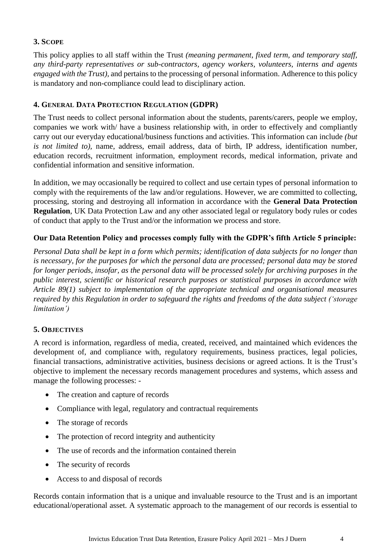# **3. SCOPE**

This policy applies to all staff within the Trust *(meaning permanent, fixed term, and temporary staff, any third-party representatives or sub-contractors, agency workers, volunteers, interns and agents engaged with the Trust),* and pertains to the processing of personal information. Adherence to this policy is mandatory and non-compliance could lead to disciplinary action.

#### **4. GENERAL DATA PROTECTION REGULATION (GDPR)**

The Trust needs to collect personal information about the students, parents/carers, people we employ, companies we work with/ have a business relationship with, in order to effectively and compliantly carry out our everyday educational/business functions and activities. This information can include *(but is not limited to),* name, address, email address, data of birth, IP address, identification number, education records, recruitment information, employment records, medical information, private and confidential information and sensitive information.

In addition, we may occasionally be required to collect and use certain types of personal information to comply with the requirements of the law and/or regulations. However, we are committed to collecting, processing, storing and destroying all information in accordance with the **General Data Protection Regulation**, UK Data Protection Law and any other associated legal or regulatory body rules or codes of conduct that apply to the Trust and/or the information we process and store.

### **Our Data Retention Policy and processes comply fully with the GDPR's fifth Article 5 principle:**

*Personal Data shall be kept in a form which permits; identification of data subjects for no longer than is necessary, for the purposes for which the personal data are processed; personal data may be stored for longer periods, insofar, as the personal data will be processed solely for archiving purposes in the public interest, scientific or historical research purposes or statistical purposes in accordance with Article 89(1) subject to implementation of the appropriate technical and organisational measures required by this Regulation in order to safeguard the rights and freedoms of the data subject ('storage limitation')*

#### **5. OBJECTIVES**

A record is information, regardless of media, created, received, and maintained which evidences the development of, and compliance with, regulatory requirements, business practices, legal policies, financial transactions, administrative activities, business decisions or agreed actions. It is the Trust's objective to implement the necessary records management procedures and systems, which assess and manage the following processes: -

- The creation and capture of records
- Compliance with legal, regulatory and contractual requirements
- The storage of records
- The protection of record integrity and authenticity
- The use of records and the information contained therein
- The security of records
- Access to and disposal of records

Records contain information that is a unique and invaluable resource to the Trust and is an important educational/operational asset. A systematic approach to the management of our records is essential to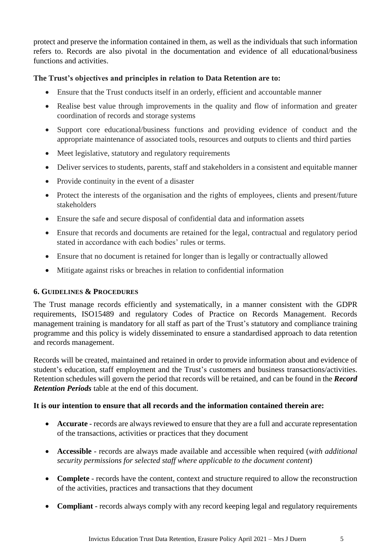protect and preserve the information contained in them, as well as the individuals that such information refers to. Records are also pivotal in the documentation and evidence of all educational/business functions and activities.

#### **The Trust's objectives and principles in relation to Data Retention are to:**

- Ensure that the Trust conducts itself in an orderly, efficient and accountable manner
- Realise best value through improvements in the quality and flow of information and greater coordination of records and storage systems
- Support core educational/business functions and providing evidence of conduct and the appropriate maintenance of associated tools, resources and outputs to clients and third parties
- Meet legislative, statutory and regulatory requirements
- Deliver services to students, parents, staff and stakeholders in a consistent and equitable manner
- Provide continuity in the event of a disaster
- Protect the interests of the organisation and the rights of employees, clients and present/future stakeholders
- Ensure the safe and secure disposal of confidential data and information assets
- Ensure that records and documents are retained for the legal, contractual and regulatory period stated in accordance with each bodies' rules or terms.
- Ensure that no document is retained for longer than is legally or contractually allowed
- Mitigate against risks or breaches in relation to confidential information

#### **6. GUIDELINES & PROCEDURES**

The Trust manage records efficiently and systematically, in a manner consistent with the GDPR requirements, ISO15489 and regulatory Codes of Practice on Records Management. Records management training is mandatory for all staff as part of the Trust's statutory and compliance training programme and this policy is widely disseminated to ensure a standardised approach to data retention and records management.

Records will be created, maintained and retained in order to provide information about and evidence of student's education, staff employment and the Trust's customers and business transactions/activities. Retention schedules will govern the period that records will be retained, and can be found in the *Record Retention Periods* table at the end of this document.

#### **It is our intention to ensure that all records and the information contained therein are:**

- **Accurate** records are always reviewed to ensure that they are a full and accurate representation of the transactions, activities or practices that they document
- **Accessible** records are always made available and accessible when required (*with additional security permissions for selected staff where applicable to the document content*)
- **Complete** records have the content, context and structure required to allow the reconstruction of the activities, practices and transactions that they document
- **Compliant** records always comply with any record keeping legal and regulatory requirements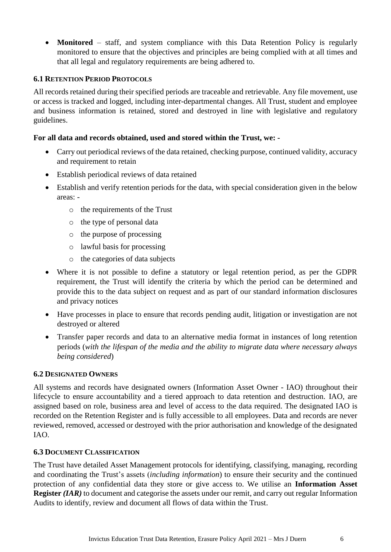• **Monitored** – staff, and system compliance with this Data Retention Policy is regularly monitored to ensure that the objectives and principles are being complied with at all times and that all legal and regulatory requirements are being adhered to.

#### **6.1 RETENTION PERIOD PROTOCOLS**

All records retained during their specified periods are traceable and retrievable. Any file movement, use or access is tracked and logged, including inter-departmental changes. All Trust, student and employee and business information is retained, stored and destroyed in line with legislative and regulatory guidelines.

#### **For all data and records obtained, used and stored within the Trust, we: -**

- Carry out periodical reviews of the data retained, checking purpose, continued validity, accuracy and requirement to retain
- Establish periodical reviews of data retained
- Establish and verify retention periods for the data, with special consideration given in the below areas:
	- o the requirements of the Trust
	- o the type of personal data
	- o the purpose of processing
	- o lawful basis for processing
	- o the categories of data subjects
- Where it is not possible to define a statutory or legal retention period, as per the GDPR requirement, the Trust will identify the criteria by which the period can be determined and provide this to the data subject on request and as part of our standard information disclosures and privacy notices
- Have processes in place to ensure that records pending audit, litigation or investigation are not destroyed or altered
- Transfer paper records and data to an alternative media format in instances of long retention periods (*with the lifespan of the media and the ability to migrate data where necessary always being considered*)

#### **6.2 DESIGNATED OWNERS**

All systems and records have designated owners (Information Asset Owner - IAO) throughout their lifecycle to ensure accountability and a tiered approach to data retention and destruction. IAO, are assigned based on role, business area and level of access to the data required. The designated IAO is recorded on the Retention Register and is fully accessible to all employees. Data and records are never reviewed, removed, accessed or destroyed with the prior authorisation and knowledge of the designated IAO.

#### **6.3 DOCUMENT CLASSIFICATION**

The Trust have detailed Asset Management protocols for identifying, classifying, managing, recording and coordinating the Trust's assets (*including information*) to ensure their security and the continued protection of any confidential data they store or give access to. We utilise an **Information Asset Register** *(IAR)* to document and categorise the assets under our remit, and carry out regular Information Audits to identify, review and document all flows of data within the Trust.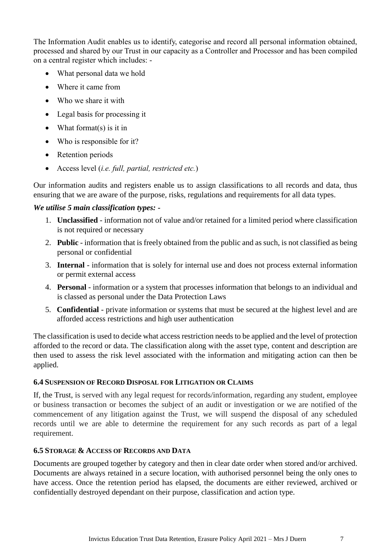The Information Audit enables us to identify, categorise and record all personal information obtained, processed and shared by our Trust in our capacity as a Controller and Processor and has been compiled on a central register which includes: -

- What personal data we hold
- Where it came from
- Who we share it with
- Legal basis for processing it
- What format(s) is it in
- Who is responsible for it?
- Retention periods
- Access level (*i.e. full, partial, restricted etc.*)

Our information audits and registers enable us to assign classifications to all records and data, thus ensuring that we are aware of the purpose, risks, regulations and requirements for all data types.

#### *We utilise 5 main classification types: -*

- 1. **Unclassified** information not of value and/or retained for a limited period where classification is not required or necessary
- 2. **Public** information that is freely obtained from the public and as such, is not classified as being personal or confidential
- 3. **Internal** information that is solely for internal use and does not process external information or permit external access
- 4. **Personal**  information or a system that processes information that belongs to an individual and is classed as personal under the Data Protection Laws
- 5. **Confidential**  private information or systems that must be secured at the highest level and are afforded access restrictions and high user authentication

The classification is used to decide what access restriction needs to be applied and the level of protection afforded to the record or data. The classification along with the asset type, content and description are then used to assess the risk level associated with the information and mitigating action can then be applied.

#### **6.4 SUSPENSION OF RECORD DISPOSAL FOR LITIGATION OR CLAIMS**

If, the Trust, is served with any legal request for records/information, regarding any student, employee or business transaction or becomes the subject of an audit or investigation or we are notified of the commencement of any litigation against the Trust, we will suspend the disposal of any scheduled records until we are able to determine the requirement for any such records as part of a legal requirement.

#### **6.5 STORAGE & ACCESS OF RECORDS AND DATA**

Documents are grouped together by category and then in clear date order when stored and/or archived. Documents are always retained in a secure location, with authorised personnel being the only ones to have access. Once the retention period has elapsed, the documents are either reviewed, archived or confidentially destroyed dependant on their purpose, classification and action type.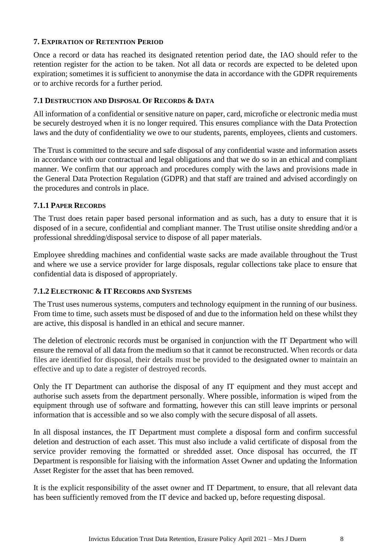#### **7. EXPIRATION OF RETENTION PERIOD**

Once a record or data has reached its designated retention period date, the IAO should refer to the retention register for the action to be taken. Not all data or records are expected to be deleted upon expiration; sometimes it is sufficient to anonymise the data in accordance with the GDPR requirements or to archive records for a further period.

#### **7.1 DESTRUCTION AND DISPOSAL OF RECORDS & DATA**

All information of a confidential or sensitive nature on paper, card, microfiche or electronic media must be securely destroyed when it is no longer required. This ensures compliance with the Data Protection laws and the duty of confidentiality we owe to our students, parents, employees, clients and customers.

The Trust is committed to the secure and safe disposal of any confidential waste and information assets in accordance with our contractual and legal obligations and that we do so in an ethical and compliant manner. We confirm that our approach and procedures comply with the laws and provisions made in the General Data Protection Regulation (GDPR) and that staff are trained and advised accordingly on the procedures and controls in place.

#### **7.1.1 PAPER RECORDS**

The Trust does retain paper based personal information and as such, has a duty to ensure that it is disposed of in a secure, confidential and compliant manner. The Trust utilise onsite shredding and/or a professional shredding/disposal service to dispose of all paper materials.

Employee shredding machines and confidential waste sacks are made available throughout the Trust and where we use a service provider for large disposals, regular collections take place to ensure that confidential data is disposed of appropriately.

#### **7.1.2 ELECTRONIC & IT RECORDS AND SYSTEMS**

The Trust uses numerous systems, computers and technology equipment in the running of our business. From time to time, such assets must be disposed of and due to the information held on these whilst they are active, this disposal is handled in an ethical and secure manner.

The deletion of electronic records must be organised in conjunction with the IT Department who will ensure the removal of all data from the medium so that it cannot be reconstructed. When records or data files are identified for disposal, their details must be provided to the designated owner to maintain an effective and up to date a register of destroyed records.

Only the IT Department can authorise the disposal of any IT equipment and they must accept and authorise such assets from the department personally. Where possible, information is wiped from the equipment through use of software and formatting, however this can still leave imprints or personal information that is accessible and so we also comply with the secure disposal of all assets.

In all disposal instances, the IT Department must complete a disposal form and confirm successful deletion and destruction of each asset. This must also include a valid certificate of disposal from the service provider removing the formatted or shredded asset. Once disposal has occurred, the IT Department is responsible for liaising with the information Asset Owner and updating the Information Asset Register for the asset that has been removed.

It is the explicit responsibility of the asset owner and IT Department, to ensure, that all relevant data has been sufficiently removed from the IT device and backed up, before requesting disposal.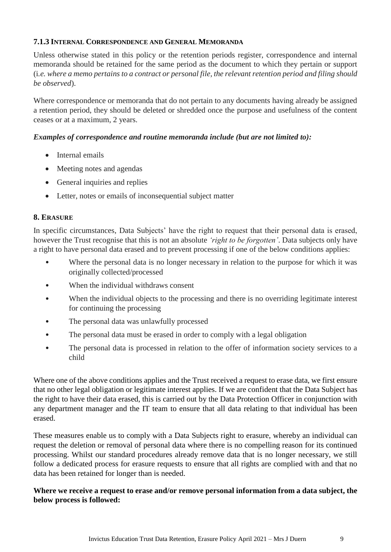#### **7.1.3 INTERNAL CORRESPONDENCE AND GENERAL MEMORANDA**

Unless otherwise stated in this policy or the retention periods register, correspondence and internal memoranda should be retained for the same period as the document to which they pertain or support (i*.e. where a memo pertains to a contract or personal file, the relevant retention period and filing should be observed*).

Where correspondence or memoranda that do not pertain to any documents having already be assigned a retention period, they should be deleted or shredded once the purpose and usefulness of the content ceases or at a maximum, 2 years.

#### *Examples of correspondence and routine memoranda include (but are not limited to):*

- Internal emails
- Meeting notes and agendas
- General inquiries and replies
- Letter, notes or emails of inconsequential subject matter

### **8. ERASURE**

In specific circumstances, Data Subjects' have the right to request that their personal data is erased, however the Trust recognise that this is not an absolute *'right to be forgotten'*. Data subjects only have a right to have personal data erased and to prevent processing if one of the below conditions applies:

- Where the personal data is no longer necessary in relation to the purpose for which it was originally collected/processed
- When the individual withdraws consent
- When the individual objects to the processing and there is no overriding legitimate interest for continuing the processing
- The personal data was unlawfully processed
- The personal data must be erased in order to comply with a legal obligation
- The personal data is processed in relation to the offer of information society services to a child

Where one of the above conditions applies and the Trust received a request to erase data, we first ensure that no other legal obligation or legitimate interest applies. If we are confident that the Data Subject has the right to have their data erased, this is carried out by the Data Protection Officer in conjunction with any department manager and the IT team to ensure that all data relating to that individual has been erased.

These measures enable us to comply with a Data Subjects right to erasure, whereby an individual can request the deletion or removal of personal data where there is no compelling reason for its continued processing. Whilst our standard procedures already remove data that is no longer necessary, we still follow a dedicated process for erasure requests to ensure that all rights are complied with and that no data has been retained for longer than is needed.

#### **Where we receive a request to erase and/or remove personal information from a data subject, the below process is followed:**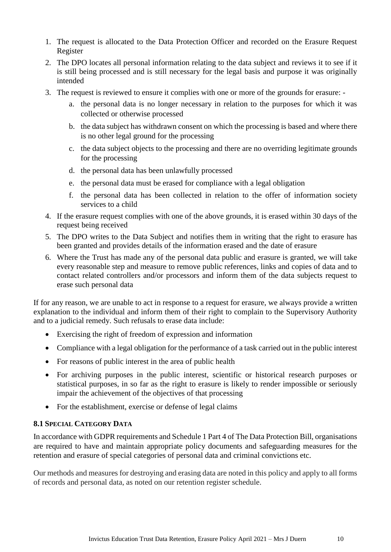- 1. The request is allocated to the Data Protection Officer and recorded on the Erasure Request Register
- 2. The DPO locates all personal information relating to the data subject and reviews it to see if it is still being processed and is still necessary for the legal basis and purpose it was originally intended
- 3. The request is reviewed to ensure it complies with one or more of the grounds for erasure:
	- a. the personal data is no longer necessary in relation to the purposes for which it was collected or otherwise processed
	- b. the data subject has withdrawn consent on which the processing is based and where there is no other legal ground for the processing
	- c. the data subject objects to the processing and there are no overriding legitimate grounds for the processing
	- d. the personal data has been unlawfully processed
	- e. the personal data must be erased for compliance with a legal obligation
	- f. the personal data has been collected in relation to the offer of information society services to a child
- 4. If the erasure request complies with one of the above grounds, it is erased within 30 days of the request being received
- 5. The DPO writes to the Data Subject and notifies them in writing that the right to erasure has been granted and provides details of the information erased and the date of erasure
- 6. Where the Trust has made any of the personal data public and erasure is granted, we will take every reasonable step and measure to remove public references, links and copies of data and to contact related controllers and/or processors and inform them of the data subjects request to erase such personal data

If for any reason, we are unable to act in response to a request for erasure, we always provide a written explanation to the individual and inform them of their right to complain to the Supervisory Authority and to a judicial remedy. Such refusals to erase data include:

- Exercising the right of freedom of expression and information
- Compliance with a legal obligation for the performance of a task carried out in the public interest
- For reasons of public interest in the area of public health
- For archiving purposes in the public interest, scientific or historical research purposes or statistical purposes, in so far as the right to erasure is likely to render impossible or seriously impair the achievement of the objectives of that processing
- For the establishment, exercise or defense of legal claims

#### **8.1 SPECIAL CATEGORY DATA**

In accordance with GDPR requirements and Schedule 1 Part 4 of The Data Protection Bill, organisations are required to have and maintain appropriate policy documents and safeguarding measures for the retention and erasure of special categories of personal data and criminal convictions etc.

Our methods and measures for destroying and erasing data are noted in this policy and apply to all forms of records and personal data, as noted on our retention register schedule.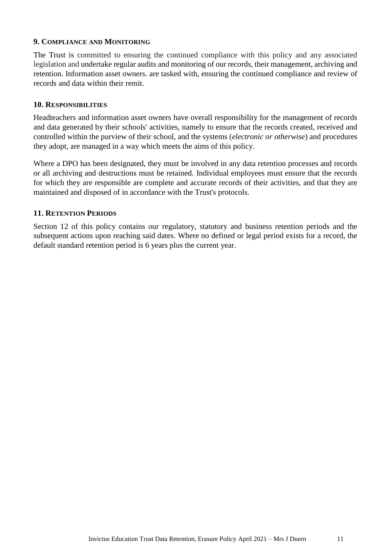#### **9. COMPLIANCE AND MONITORING**

The Trust is committed to ensuring the continued compliance with this policy and any associated legislation and undertake regular audits and monitoring of our records, their management, archiving and retention. Information asset owners. are tasked with, ensuring the continued compliance and review of records and data within their remit.

#### **10. RESPONSIBILITIES**

Headteachers and information asset owners have overall responsibility for the management of records and data generated by their schools' activities, namely to ensure that the records created, received and controlled within the purview of their school, and the systems (*electronic or otherwise*) and procedures they adopt, are managed in a way which meets the aims of this policy.

Where a DPO has been designated, they must be involved in any data retention processes and records or all archiving and destructions must be retained. Individual employees must ensure that the records for which they are responsible are complete and accurate records of their activities, and that they are maintained and disposed of in accordance with the Trust's protocols.

#### **11. RETENTION PERIODS**

Section 12 of this policy contains our regulatory, statutory and business retention periods and the subsequent actions upon reaching said dates. Where no defined or legal period exists for a record, the default standard retention period is 6 years plus the current year.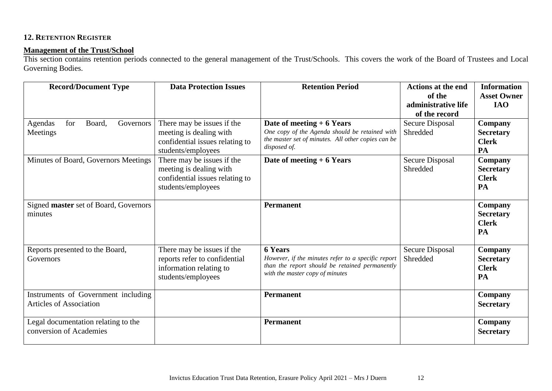# **12. RETENTION REGISTER**

### **Management of the Trust/School**

This section contains retention periods connected to the general management of the Trust/Schools. This covers the work of the Board of Trustees and Local Governing Bodies.

| <b>Record/Document Type</b>                                           | <b>Data Protection Issues</b>                                                                                  | <b>Retention Period</b>                                                                                                                                   | <b>Actions at the end</b>          | <b>Information</b>                                |
|-----------------------------------------------------------------------|----------------------------------------------------------------------------------------------------------------|-----------------------------------------------------------------------------------------------------------------------------------------------------------|------------------------------------|---------------------------------------------------|
|                                                                       |                                                                                                                |                                                                                                                                                           | of the<br>administrative life      | <b>Asset Owner</b><br><b>IAO</b>                  |
|                                                                       |                                                                                                                |                                                                                                                                                           | of the record                      |                                                   |
| for<br>Board.<br>Governors<br>Agendas<br>Meetings                     | There may be issues if the<br>meeting is dealing with<br>confidential issues relating to<br>students/employees | Date of meeting $+6$ Years<br>One copy of the Agenda should be retained with<br>the master set of minutes. All other copies can be<br>disposed of.        | <b>Secure Disposal</b><br>Shredded | Company<br><b>Secretary</b><br><b>Clerk</b><br>PA |
| Minutes of Board, Governors Meetings                                  | There may be issues if the<br>meeting is dealing with<br>confidential issues relating to<br>students/employees | Date of meeting $+6$ Years                                                                                                                                | <b>Secure Disposal</b><br>Shredded | Company<br><b>Secretary</b><br><b>Clerk</b><br>PA |
| Signed master set of Board, Governors<br>minutes                      |                                                                                                                | <b>Permanent</b>                                                                                                                                          |                                    | Company<br><b>Secretary</b><br><b>Clerk</b><br>PA |
| Reports presented to the Board,<br>Governors                          | There may be issues if the<br>reports refer to confidential<br>information relating to<br>students/employees   | <b>6 Years</b><br>However, if the minutes refer to a specific report<br>than the report should be retained permanently<br>with the master copy of minutes | <b>Secure Disposal</b><br>Shredded | Company<br><b>Secretary</b><br><b>Clerk</b><br>PA |
| Instruments of Government including<br><b>Articles of Association</b> |                                                                                                                | <b>Permanent</b>                                                                                                                                          |                                    | Company<br><b>Secretary</b>                       |
| Legal documentation relating to the<br>conversion of Academies        |                                                                                                                | Permanent                                                                                                                                                 |                                    | Company<br><b>Secretary</b>                       |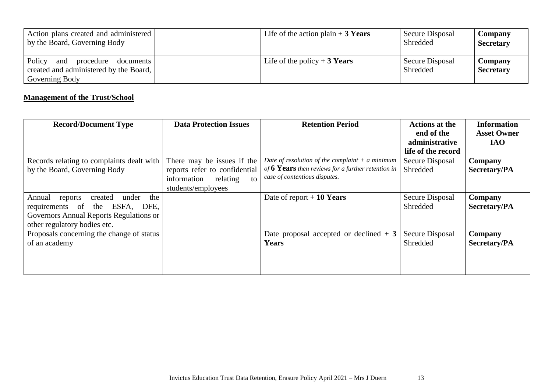| Action plans created and administered<br>by the Board, Governing Body                               | Life of the action plain $+3$ Years | Secure Disposal<br>Shredded | <b>Company</b><br><b>Secretary</b> |
|-----------------------------------------------------------------------------------------------------|-------------------------------------|-----------------------------|------------------------------------|
| Policy<br>and<br>procedure<br>documents<br>created and administered by the Board,<br>Governing Body | Life of the policy + 3 Years        | Secure Disposal<br>Shredded | Company<br><b>Secretary</b>        |

# **Management of the Trust/School**

| <b>Record/Document Type</b>                                                                                                                                        | <b>Data Protection Issues</b>                                                                                      | <b>Retention Period</b>                                                                                                                  | <b>Actions at the</b><br>end of the<br>administrative<br>life of the record | <b>Information</b><br><b>Asset Owner</b><br><b>IAO</b> |
|--------------------------------------------------------------------------------------------------------------------------------------------------------------------|--------------------------------------------------------------------------------------------------------------------|------------------------------------------------------------------------------------------------------------------------------------------|-----------------------------------------------------------------------------|--------------------------------------------------------|
| Records relating to complaints dealt with<br>by the Board, Governing Body                                                                                          | There may be issues if the<br>reports refer to confidential<br>information<br>relating<br>to<br>students/employees | Date of resolution of the complaint $+$ a minimum<br>of 6 Years then reviews for a further retention in<br>case of contentious disputes. | Secure Disposal<br>Shredded                                                 | Company<br>Secretary/PA                                |
| created<br>under<br>the<br>Annual<br>reports<br>ESFA,<br>requirements of<br>the<br>DFE,<br>Governors Annual Reports Regulations or<br>other regulatory bodies etc. |                                                                                                                    | Date of report $+10$ Years                                                                                                               | Secure Disposal<br>Shredded                                                 | Company<br>Secretary/PA                                |
| Proposals concerning the change of status<br>of an academy                                                                                                         |                                                                                                                    | Date proposal accepted or declined $+3$<br>Years                                                                                         | Secure Disposal<br>Shredded                                                 | Company<br><b>Secretary/PA</b>                         |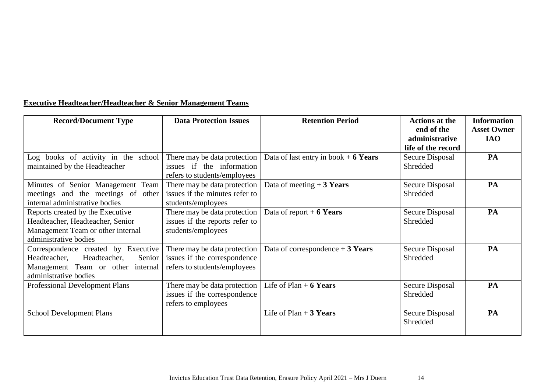|  |  |  |  |  |  | <b>Executive Headteacher/Headteacher &amp; Senior Management Teams</b> |  |
|--|--|--|--|--|--|------------------------------------------------------------------------|--|
|--|--|--|--|--|--|------------------------------------------------------------------------|--|

| <b>Record/Document Type</b>                                                                                                                | <b>Data Protection Issues</b>                                                                | <b>Retention Period</b>                | <b>Actions at the</b><br>end of the<br>administrative<br>life of the record | <b>Information</b><br><b>Asset Owner</b><br><b>IAO</b> |
|--------------------------------------------------------------------------------------------------------------------------------------------|----------------------------------------------------------------------------------------------|----------------------------------------|-----------------------------------------------------------------------------|--------------------------------------------------------|
| Log books of activity in the school<br>maintained by the Headteacher                                                                       | There may be data protection<br>issues if the information<br>refers to students/employees    | Data of last entry in book $+$ 6 Years | Secure Disposal<br>Shredded                                                 | PA                                                     |
| Minutes of Senior Management Team<br>meetings and the meetings of other<br>internal administrative bodies                                  | There may be data protection<br>issues if the minutes refer to<br>students/employees         | Data of meeting $+3$ Years             | Secure Disposal<br>Shredded                                                 | PA                                                     |
| Reports created by the Executive<br>Headteacher, Headteacher, Senior<br>Management Team or other internal<br>administrative bodies         | There may be data protection<br>issues if the reports refer to<br>students/employees         | Data of report $+$ 6 Years             | Secure Disposal<br>Shredded                                                 | PA                                                     |
| Correspondence created by Executive<br>Headteacher, Headteacher,<br>Senior  <br>Management Team or other internal<br>administrative bodies | There may be data protection<br>issues if the correspondence<br>refers to students/employees | Data of correspondence $+3$ Years      | Secure Disposal<br>Shredded                                                 | PA                                                     |
| Professional Development Plans                                                                                                             | There may be data protection<br>issues if the correspondence<br>refers to employees          | Life of Plan $+$ 6 Years               | Secure Disposal<br>Shredded                                                 | PA                                                     |
| <b>School Development Plans</b>                                                                                                            |                                                                                              | Life of $Plan + 3 Years$               | Secure Disposal<br>Shredded                                                 | PA                                                     |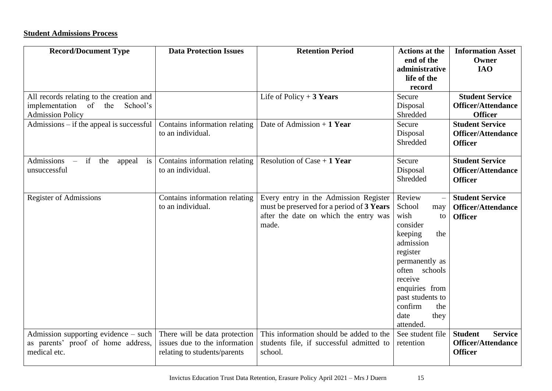# **Student Admissions Process**

| <b>Record/Document Type</b>                                                                              | <b>Data Protection Issues</b>                                                                  | <b>Retention Period</b>                                                                                                              | <b>Actions at the</b><br>end of the<br>administrative<br>life of the<br>record                                                                                                                                                  | <b>Information Asset</b><br>Owner<br><b>IAO</b>                                 |
|----------------------------------------------------------------------------------------------------------|------------------------------------------------------------------------------------------------|--------------------------------------------------------------------------------------------------------------------------------------|---------------------------------------------------------------------------------------------------------------------------------------------------------------------------------------------------------------------------------|---------------------------------------------------------------------------------|
| All records relating to the creation and<br>implementation of the<br>School's<br><b>Admission Policy</b> |                                                                                                | Life of Policy $+3$ Years                                                                                                            | Secure<br>Disposal<br>Shredded                                                                                                                                                                                                  | <b>Student Service</b><br><b>Officer/Attendance</b><br><b>Officer</b>           |
| Admissions $-$ if the appeal is successful                                                               | Contains information relating<br>to an individual.                                             | Date of Admission $+1$ Year                                                                                                          | Secure<br>Disposal<br>Shredded                                                                                                                                                                                                  | <b>Student Service</b><br><b>Officer/Attendance</b><br><b>Officer</b>           |
| Admissions – if the<br>appeal is<br>unsuccessful                                                         | Contains information relating<br>to an individual.                                             | Resolution of Case $+1$ Year                                                                                                         | Secure<br>Disposal<br>Shredded                                                                                                                                                                                                  | <b>Student Service</b><br><b>Officer/Attendance</b><br><b>Officer</b>           |
| <b>Register of Admissions</b>                                                                            | Contains information relating<br>to an individual.                                             | Every entry in the Admission Register<br>must be preserved for a period of 3 Years<br>after the date on which the entry was<br>made. | Review<br>School<br>may<br>wish<br>to<br>consider<br>keeping<br>the<br>admission<br>register<br>permanently as<br>often schools<br>receive<br>enquiries from<br>past students to<br>confirm<br>the<br>date<br>they<br>attended. | <b>Student Service</b><br><b>Officer/Attendance</b><br><b>Officer</b>           |
| Admission supporting evidence $-$ such $ $<br>as parents' proof of home address,<br>medical etc.         | There will be data protection<br>issues due to the information<br>relating to students/parents | This information should be added to the<br>students file, if successful admitted to<br>school.                                       | See student file<br>retention                                                                                                                                                                                                   | <b>Student</b><br><b>Service</b><br><b>Officer/Attendance</b><br><b>Officer</b> |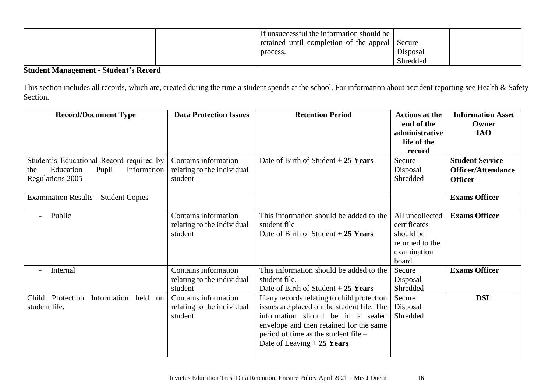|  | If unsuccessful the information should be      |          |  |
|--|------------------------------------------------|----------|--|
|  | retained until completion of the appeal Secure |          |  |
|  | process.                                       | Disposal |  |
|  |                                                | Shredded |  |

# **Student Management - Student's Record**

This section includes all records, which are, created during the time a student spends at the school. For information about accident reporting see Health & Safety Section.

| <b>Record/Document Type</b>                                                                                     | <b>Data Protection Issues</b>                                 | <b>Retention Period</b>                                                                                                                                                                                                                          | <b>Actions at the</b><br>end of the<br>administrative<br>life of the<br>record           | <b>Information Asset</b><br>Owner<br><b>IAO</b>                       |
|-----------------------------------------------------------------------------------------------------------------|---------------------------------------------------------------|--------------------------------------------------------------------------------------------------------------------------------------------------------------------------------------------------------------------------------------------------|------------------------------------------------------------------------------------------|-----------------------------------------------------------------------|
| Student's Educational Record required by<br>Information<br>Education<br>Pupil<br>the<br><b>Regulations 2005</b> | Contains information<br>relating to the individual<br>student | Date of Birth of Student $+25$ Years                                                                                                                                                                                                             | Secure<br>Disposal<br>Shredded                                                           | <b>Student Service</b><br><b>Officer/Attendance</b><br><b>Officer</b> |
| <b>Examination Results - Student Copies</b>                                                                     |                                                               |                                                                                                                                                                                                                                                  |                                                                                          | <b>Exams Officer</b>                                                  |
| Public                                                                                                          | Contains information<br>relating to the individual<br>student | This information should be added to the<br>student file<br>Date of Birth of Student $+25$ Years                                                                                                                                                  | All uncollected<br>certificates<br>should be<br>returned to the<br>examination<br>board. | <b>Exams Officer</b>                                                  |
| Internal                                                                                                        | Contains information<br>relating to the individual<br>student | This information should be added to the<br>student file.<br>Date of Birth of Student $+25$ Years                                                                                                                                                 | Secure<br>Disposal<br>Shredded                                                           | <b>Exams Officer</b>                                                  |
| Child Protection<br>Information<br>held<br>on<br>student file.                                                  | Contains information<br>relating to the individual<br>student | If any records relating to child protection<br>issues are placed on the student file. The<br>information should be in a sealed<br>envelope and then retained for the same<br>period of time as the student file –<br>Date of Leaving $+25$ Years | Secure<br>Disposal<br>Shredded                                                           | <b>DSL</b>                                                            |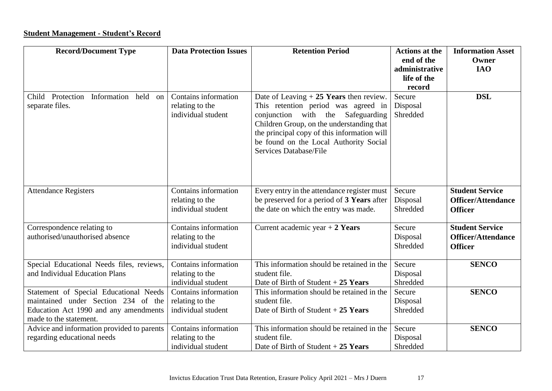# **Student Management - Student's Record**

| <b>Record/Document Type</b>                                                                                                                      | <b>Data Protection Issues</b>                                 | <b>Retention Period</b>                                                                                                                                                                                                                                                                 | <b>Actions at the</b><br>end of the<br>administrative | <b>Information Asset</b><br>Owner<br><b>IAO</b>                       |
|--------------------------------------------------------------------------------------------------------------------------------------------------|---------------------------------------------------------------|-----------------------------------------------------------------------------------------------------------------------------------------------------------------------------------------------------------------------------------------------------------------------------------------|-------------------------------------------------------|-----------------------------------------------------------------------|
|                                                                                                                                                  |                                                               |                                                                                                                                                                                                                                                                                         | life of the<br>record                                 |                                                                       |
| Child Protection<br>Information<br>held<br>on<br>separate files.                                                                                 | Contains information<br>relating to the<br>individual student | Date of Leaving $+25$ Years then review.<br>This retention period was agreed in<br>conjunction with the<br>Safeguarding<br>Children Group, on the understanding that<br>the principal copy of this information will<br>be found on the Local Authority Social<br>Services Database/File | Secure<br>Disposal<br>Shredded                        | <b>DSL</b>                                                            |
| <b>Attendance Registers</b>                                                                                                                      | Contains information<br>relating to the<br>individual student | Every entry in the attendance register must<br>be preserved for a period of 3 Years after<br>the date on which the entry was made.                                                                                                                                                      | Secure<br>Disposal<br>Shredded                        | <b>Student Service</b><br>Officer/Attendance<br><b>Officer</b>        |
| Correspondence relating to<br>authorised/unauthorised absence                                                                                    | Contains information<br>relating to the<br>individual student | Current academic year $+ 2$ Years                                                                                                                                                                                                                                                       | Secure<br>Disposal<br>Shredded                        | <b>Student Service</b><br><b>Officer/Attendance</b><br><b>Officer</b> |
| Special Educational Needs files, reviews,<br>and Individual Education Plans                                                                      | Contains information<br>relating to the<br>individual student | This information should be retained in the<br>student file.<br>Date of Birth of Student $+25$ Years                                                                                                                                                                                     | Secure<br>Disposal<br>Shredded                        | <b>SENCO</b>                                                          |
| Statement of Special Educational Needs<br>maintained under Section 234 of the<br>Education Act 1990 and any amendments<br>made to the statement. | Contains information<br>relating to the<br>individual student | This information should be retained in the<br>student file.<br>Date of Birth of Student $+25$ Years                                                                                                                                                                                     | Secure<br>Disposal<br>Shredded                        | <b>SENCO</b>                                                          |
| Advice and information provided to parents<br>regarding educational needs                                                                        | Contains information<br>relating to the<br>individual student | This information should be retained in the<br>student file.<br>Date of Birth of Student $+25$ Years                                                                                                                                                                                     | Secure<br>Disposal<br>Shredded                        | <b>SENCO</b>                                                          |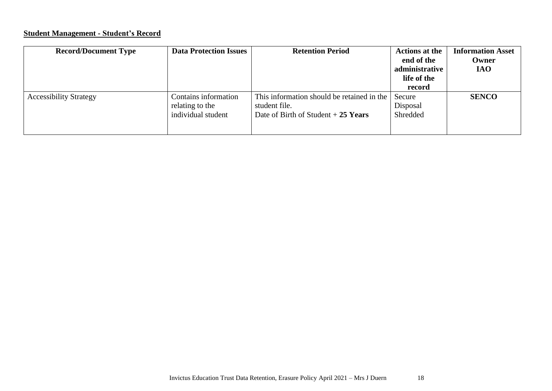# **Student Management - Student's Record**

| <b>Record/Document Type</b>   | <b>Data Protection Issues</b>                                 | <b>Retention Period</b>                                                                             | <b>Actions at the</b><br>end of the<br>administrative<br>life of the<br>record | <b>Information Asset</b><br>Owner<br><b>IAO</b> |
|-------------------------------|---------------------------------------------------------------|-----------------------------------------------------------------------------------------------------|--------------------------------------------------------------------------------|-------------------------------------------------|
| <b>Accessibility Strategy</b> | Contains information<br>relating to the<br>individual student | This information should be retained in the<br>student file.<br>Date of Birth of Student $+25$ Years | Secure<br>Disposal<br>Shredded                                                 | <b>SENCO</b>                                    |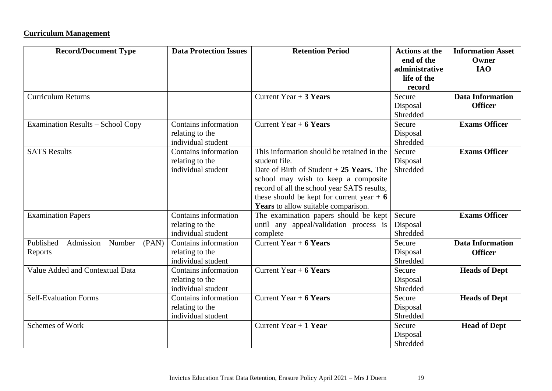# **Curriculum Management**

| <b>Record/Document Type</b>               | <b>Data Protection Issues</b> | <b>Retention Period</b>                     | <b>Actions at the</b><br>end of the | <b>Information Asset</b><br>Owner |
|-------------------------------------------|-------------------------------|---------------------------------------------|-------------------------------------|-----------------------------------|
|                                           |                               |                                             | administrative                      | <b>IAO</b>                        |
|                                           |                               |                                             | life of the                         |                                   |
|                                           |                               |                                             | record                              |                                   |
| <b>Curriculum Returns</b>                 |                               | Current Year $+3$ Years                     | Secure                              | <b>Data Information</b>           |
|                                           |                               |                                             | Disposal                            | <b>Officer</b>                    |
|                                           |                               |                                             | Shredded                            |                                   |
| <b>Examination Results - School Copy</b>  | Contains information          | Current Year $+ 6$ Years                    | Secure                              | <b>Exams Officer</b>              |
|                                           | relating to the               |                                             | Disposal                            |                                   |
|                                           | individual student            |                                             | Shredded                            |                                   |
| <b>SATS Results</b>                       | Contains information          | This information should be retained in the  | Secure                              | <b>Exams Officer</b>              |
|                                           | relating to the               | student file.                               | Disposal                            |                                   |
|                                           | individual student            | Date of Birth of Student $+25$ Years. The   | Shredded                            |                                   |
|                                           |                               | school may wish to keep a composite         |                                     |                                   |
|                                           |                               | record of all the school year SATS results, |                                     |                                   |
|                                           |                               | these should be kept for current year $+ 6$ |                                     |                                   |
|                                           |                               | Years to allow suitable comparison.         |                                     |                                   |
| <b>Examination Papers</b>                 | Contains information          | The examination papers should be kept       | Secure                              | <b>Exams Officer</b>              |
|                                           | relating to the               | until any appeal/validation process is      | Disposal                            |                                   |
|                                           | individual student            | complete                                    | Shredded                            |                                   |
| Admission<br>Published<br>Number<br>(PAN) | Contains information          | Current Year $+ 6$ Years                    | Secure                              | <b>Data Information</b>           |
| Reports                                   | relating to the               |                                             | Disposal                            | <b>Officer</b>                    |
|                                           | individual student            |                                             | Shredded                            |                                   |
| Value Added and Contextual Data           | Contains information          | Current Year $+ 6$ Years                    | Secure                              | <b>Heads of Dept</b>              |
|                                           | relating to the               |                                             | Disposal                            |                                   |
|                                           | individual student            |                                             | Shredded                            |                                   |
| <b>Self-Evaluation Forms</b>              | Contains information          | Current Year $+ 6$ Years                    | Secure                              | <b>Heads of Dept</b>              |
|                                           | relating to the               |                                             | Disposal                            |                                   |
|                                           | individual student            |                                             | Shredded                            |                                   |
| Schemes of Work                           |                               | Current Year $+1$ Year                      | Secure                              | <b>Head of Dept</b>               |
|                                           |                               |                                             | Disposal                            |                                   |
|                                           |                               |                                             | Shredded                            |                                   |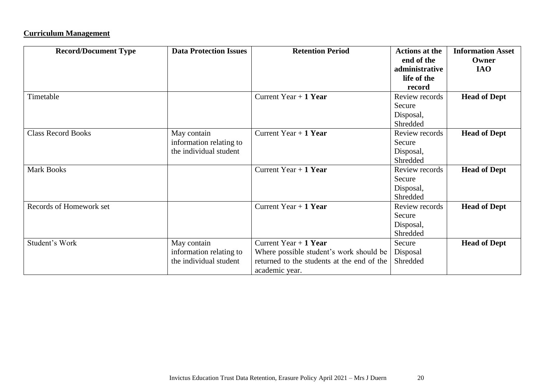# **Curriculum Management**

| <b>Record/Document Type</b> | <b>Data Protection Issues</b>                                    | <b>Retention Period</b>                                                                                                           | <b>Actions at the</b><br>end of the<br>administrative<br>life of the<br>record | <b>Information Asset</b><br>Owner<br><b>IAO</b> |
|-----------------------------|------------------------------------------------------------------|-----------------------------------------------------------------------------------------------------------------------------------|--------------------------------------------------------------------------------|-------------------------------------------------|
| Timetable                   |                                                                  | Current Year $+1$ Year                                                                                                            | Review records<br>Secure<br>Disposal,<br>Shredded                              | <b>Head of Dept</b>                             |
| <b>Class Record Books</b>   | May contain<br>information relating to<br>the individual student | Current Year $+1$ Year                                                                                                            | Review records<br>Secure<br>Disposal,<br>Shredded                              | <b>Head of Dept</b>                             |
| <b>Mark Books</b>           |                                                                  | Current Year $+1$ Year                                                                                                            | Review records<br>Secure<br>Disposal,<br>Shredded                              | <b>Head of Dept</b>                             |
| Records of Homework set     |                                                                  | Current Year $+1$ Year                                                                                                            | Review records<br>Secure<br>Disposal,<br>Shredded                              | <b>Head of Dept</b>                             |
| Student's Work              | May contain<br>information relating to<br>the individual student | Current Year $+1$ Year<br>Where possible student's work should be<br>returned to the students at the end of the<br>academic year. | Secure<br>Disposal<br>Shredded                                                 | <b>Head of Dept</b>                             |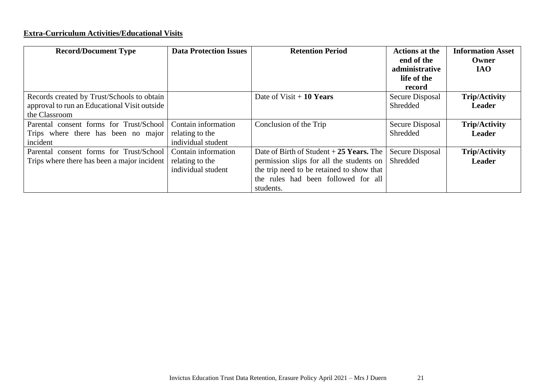# **Extra-Curriculum Activities/Educational Visits**

| <b>Record/Document Type</b>                  | <b>Data Protection Issues</b> | <b>Retention Period</b>                   | <b>Actions at the</b><br>end of the<br>administrative<br>life of the<br>record | <b>Information Asset</b><br>Owner<br><b>IAO</b> |
|----------------------------------------------|-------------------------------|-------------------------------------------|--------------------------------------------------------------------------------|-------------------------------------------------|
| Records created by Trust/Schools to obtain   |                               | Date of $Visit + 10$ Years                | Secure Disposal                                                                | <b>Trip/Activity</b>                            |
| approval to run an Educational Visit outside |                               |                                           | Shredded                                                                       | <b>Leader</b>                                   |
| the Classroom                                |                               |                                           |                                                                                |                                                 |
| Parental consent forms for Trust/School      | Contain information           | Conclusion of the Trip                    | Secure Disposal                                                                | <b>Trip/Activity</b>                            |
| Trips where there has been no major          | relating to the               |                                           | Shredded                                                                       | <b>Leader</b>                                   |
| incident                                     | individual student            |                                           |                                                                                |                                                 |
| Parental consent forms for Trust/School      | Contain information           | Date of Birth of Student $+25$ Years. The | Secure Disposal                                                                | <b>Trip/Activity</b>                            |
| Trips where there has been a major incident  | relating to the               | permission slips for all the students on  | Shredded                                                                       | <b>Leader</b>                                   |
|                                              | individual student            | the trip need to be retained to show that |                                                                                |                                                 |
|                                              |                               | the rules had been followed for all       |                                                                                |                                                 |
|                                              |                               | students.                                 |                                                                                |                                                 |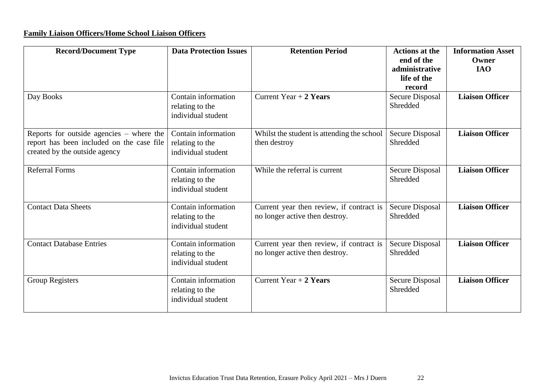# **Family Liaison Officers/Home School Liaison Officers**

| <b>Record/Document Type</b>                                                                                              | <b>Data Protection Issues</b>                                | <b>Retention Period</b>                                                    | <b>Actions at the</b><br>end of the<br>administrative<br>life of the<br>record | <b>Information Asset</b><br>Owner<br><b>IAO</b> |
|--------------------------------------------------------------------------------------------------------------------------|--------------------------------------------------------------|----------------------------------------------------------------------------|--------------------------------------------------------------------------------|-------------------------------------------------|
| Day Books                                                                                                                | Contain information<br>relating to the<br>individual student | Current Year $+2$ Years                                                    | Secure Disposal<br>Shredded                                                    | <b>Liaison Officer</b>                          |
| Reports for outside agencies $-$ where the<br>report has been included on the case file<br>created by the outside agency | Contain information<br>relating to the<br>individual student | Whilst the student is attending the school<br>then destroy                 | Secure Disposal<br>Shredded                                                    | <b>Liaison Officer</b>                          |
| <b>Referral Forms</b>                                                                                                    | Contain information<br>relating to the<br>individual student | While the referral is current                                              | <b>Secure Disposal</b><br>Shredded                                             | <b>Liaison Officer</b>                          |
| <b>Contact Data Sheets</b>                                                                                               | Contain information<br>relating to the<br>individual student | Current year then review, if contract is<br>no longer active then destroy. | Secure Disposal<br>Shredded                                                    | <b>Liaison Officer</b>                          |
| <b>Contact Database Entries</b>                                                                                          | Contain information<br>relating to the<br>individual student | Current year then review, if contract is<br>no longer active then destroy. | Secure Disposal<br>Shredded                                                    | <b>Liaison Officer</b>                          |
| Group Registers                                                                                                          | Contain information<br>relating to the<br>individual student | Current Year $+2$ Years                                                    | <b>Secure Disposal</b><br>Shredded                                             | <b>Liaison Officer</b>                          |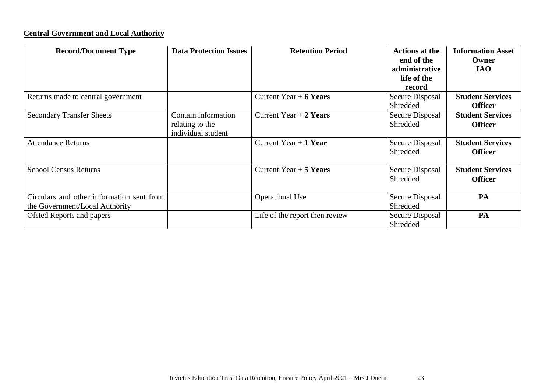# **Central Government and Local Authority**

| <b>Record/Document Type</b>                                                 | <b>Data Protection Issues</b>                                | <b>Retention Period</b>        | <b>Actions at the</b><br>end of the<br>administrative<br>life of the<br>record | <b>Information Asset</b><br>Owner<br><b>IAO</b> |
|-----------------------------------------------------------------------------|--------------------------------------------------------------|--------------------------------|--------------------------------------------------------------------------------|-------------------------------------------------|
| Returns made to central government                                          |                                                              | Current Year $+ 6$ Years       | Secure Disposal<br>Shredded                                                    | <b>Student Services</b><br><b>Officer</b>       |
| <b>Secondary Transfer Sheets</b>                                            | Contain information<br>relating to the<br>individual student | Current Year $+2$ Years        | Secure Disposal<br>Shredded                                                    | <b>Student Services</b><br><b>Officer</b>       |
| <b>Attendance Returns</b>                                                   |                                                              | Current Year $+1$ Year         | Secure Disposal<br>Shredded                                                    | <b>Student Services</b><br><b>Officer</b>       |
| <b>School Census Returns</b>                                                |                                                              | Current Year $+5$ Years        | Secure Disposal<br>Shredded                                                    | <b>Student Services</b><br><b>Officer</b>       |
| Circulars and other information sent from<br>the Government/Local Authority |                                                              | <b>Operational Use</b>         | Secure Disposal<br>Shredded                                                    | PA                                              |
| <b>Ofsted Reports and papers</b>                                            |                                                              | Life of the report then review | Secure Disposal<br>Shredded                                                    | PA                                              |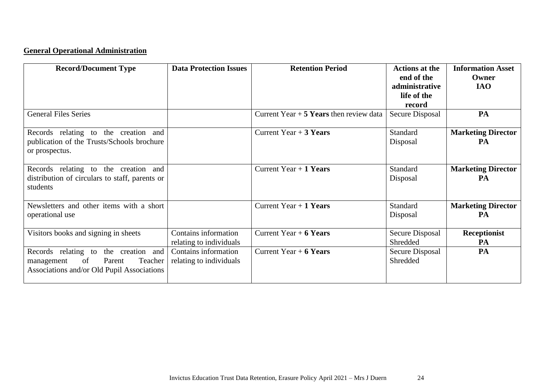# **General Operational Administration**

| <b>Record/Document Type</b>                    | <b>Data Protection Issues</b> | <b>Retention Period</b>                  | <b>Actions at the</b> | <b>Information Asset</b>  |
|------------------------------------------------|-------------------------------|------------------------------------------|-----------------------|---------------------------|
|                                                |                               |                                          | end of the            | Owner                     |
|                                                |                               |                                          | administrative        | <b>IAO</b>                |
|                                                |                               |                                          | life of the           |                           |
|                                                |                               |                                          | record                |                           |
| <b>General Files Series</b>                    |                               | Current Year $+5$ Years then review data | Secure Disposal       | PA                        |
| Records relating to the creation and           |                               | Current Year $+3$ Years                  | Standard              | <b>Marketing Director</b> |
| publication of the Trusts/Schools brochure     |                               |                                          | Disposal              | PA                        |
| or prospectus.                                 |                               |                                          |                       |                           |
| Records relating to the creation and           |                               | Current Year $+1$ Years                  | Standard              | <b>Marketing Director</b> |
| distribution of circulars to staff, parents or |                               |                                          | Disposal              | PA                        |
| students                                       |                               |                                          |                       |                           |
| Newsletters and other items with a short       |                               | Current Year $+1$ Years                  | Standard              | <b>Marketing Director</b> |
| operational use                                |                               |                                          | Disposal              | PA                        |
| Visitors books and signing in sheets           | Contains information          | Current Year $+ 6$ Years                 | Secure Disposal       | Receptionist              |
|                                                | relating to individuals       |                                          | Shredded              | PA                        |
| Records relating to the creation and           | Contains information          | Current Year $+ 6$ Years                 | Secure Disposal       | PA                        |
| of<br>Parent<br>Teacher<br>management          | relating to individuals       |                                          | Shredded              |                           |
| Associations and/or Old Pupil Associations     |                               |                                          |                       |                           |
|                                                |                               |                                          |                       |                           |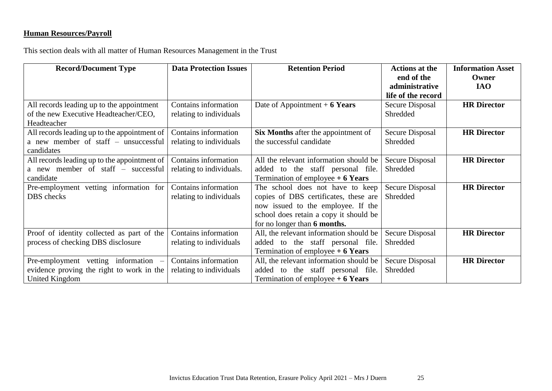# **Human Resources/Payroll**

This section deals with all matter of Human Resources Management in the Trust

| <b>Record/Document Type</b>                  | <b>Data Protection Issues</b> | <b>Retention Period</b>                    | <b>Actions at the</b>  | <b>Information Asset</b> |
|----------------------------------------------|-------------------------------|--------------------------------------------|------------------------|--------------------------|
|                                              |                               |                                            | end of the             | Owner                    |
|                                              |                               |                                            | administrative         | <b>IAO</b>               |
|                                              |                               |                                            | life of the record     |                          |
| All records leading up to the appointment    | Contains information          | Date of Appointment $+ 6$ Years            | Secure Disposal        | <b>HR Director</b>       |
| of the new Executive Headteacher/CEO,        | relating to individuals       |                                            | Shredded               |                          |
| Headteacher                                  |                               |                                            |                        |                          |
| All records leading up to the appointment of | Contains information          | <b>Six Months</b> after the appointment of | <b>Secure Disposal</b> | <b>HR</b> Director       |
| a new member of staff – unsuccessful         | relating to individuals       | the successful candidate                   | Shredded               |                          |
| candidates                                   |                               |                                            |                        |                          |
| All records leading up to the appointment of | Contains information          | All the relevant information should be     | <b>Secure Disposal</b> | <b>HR Director</b>       |
| a new member of staff – successful           | relating to individuals.      | added to the staff personal file.          | Shredded               |                          |
| candidate                                    |                               | Termination of employee $+6$ Years         |                        |                          |
| Pre-employment vetting information for       | Contains information          | The school does not have to keep           | Secure Disposal        | <b>HR</b> Director       |
| DBS checks                                   | relating to individuals       | copies of DBS certificates, these are      | Shredded               |                          |
|                                              |                               | now issued to the employee. If the         |                        |                          |
|                                              |                               | school does retain a copy it should be     |                        |                          |
|                                              |                               | for no longer than 6 months.               |                        |                          |
| Proof of identity collected as part of the   | Contains information          | All, the relevant information should be    | <b>Secure Disposal</b> | <b>HR Director</b>       |
| process of checking DBS disclosure           | relating to individuals       | added to the staff personal file.          | Shredded               |                          |
|                                              |                               | Termination of employee $+6$ Years         |                        |                          |
| Pre-employment vetting information –         | Contains information          | All, the relevant information should be    | <b>Secure Disposal</b> | <b>HR</b> Director       |
| evidence proving the right to work in the    | relating to individuals       | added to the staff personal file.          | Shredded               |                          |
| United Kingdom                               |                               | Termination of employee $+6$ Years         |                        |                          |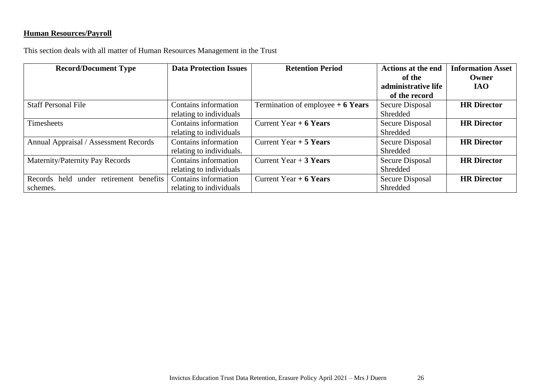# **Human Resources/Payroll**

This section deals with all matter of Human Resources Management in the Trust

| <b>Record/Document Type</b>               | <b>Data Protection Issues</b> | <b>Retention Period</b>            | <b>Actions at the end</b> | <b>Information Asset</b> |
|-------------------------------------------|-------------------------------|------------------------------------|---------------------------|--------------------------|
|                                           |                               |                                    | of the                    | Owner                    |
|                                           |                               |                                    | administrative life       | <b>IAO</b>               |
|                                           |                               |                                    | of the record             |                          |
| <b>Staff Personal File</b>                | Contains information          | Termination of employee $+6$ Years | Secure Disposal           | <b>HR</b> Director       |
|                                           | relating to individuals       |                                    | Shredded                  |                          |
| Timesheets                                | Contains information          | Current Year $+ 6$ Years           | Secure Disposal           | <b>HR Director</b>       |
|                                           | relating to individuals       |                                    | Shredded                  |                          |
| Annual Appraisal / Assessment Records     | Contains information          | Current Year $+5$ Years            | Secure Disposal           | <b>HR</b> Director       |
|                                           | relating to individuals.      |                                    | Shredded                  |                          |
| Maternity/Paternity Pay Records           | Contains information          | Current Year $+3$ Years            | Secure Disposal           | <b>HR</b> Director       |
|                                           | relating to individuals       |                                    | Shredded                  |                          |
| under retirement benefits<br>Records held | Contains information          | Current Year $+ 6$ Years           | Secure Disposal           | <b>HR</b> Director       |
| schemes.                                  | relating to individuals       |                                    | Shredded                  |                          |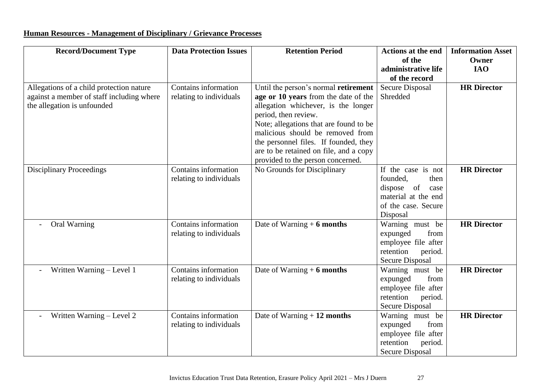# **Human Resources - Management of Disciplinary / Grievance Processes**

| <b>Record/Document Type</b>                                                           | <b>Data Protection Issues</b> | <b>Retention Period</b>                                                      | <b>Actions at the end</b><br>of the | <b>Information Asset</b><br>Owner |
|---------------------------------------------------------------------------------------|-------------------------------|------------------------------------------------------------------------------|-------------------------------------|-----------------------------------|
|                                                                                       |                               |                                                                              | administrative life                 | <b>IAO</b>                        |
|                                                                                       | Contains information          |                                                                              | of the record                       |                                   |
| Allegations of a child protection nature<br>against a member of staff including where |                               | Until the person's normal retirement<br>age or 10 years from the date of the | <b>Secure Disposal</b><br>Shredded  | <b>HR</b> Director                |
| the allegation is unfounded                                                           | relating to individuals       | allegation whichever, is the longer                                          |                                     |                                   |
|                                                                                       |                               | period, then review.                                                         |                                     |                                   |
|                                                                                       |                               | Note; allegations that are found to be                                       |                                     |                                   |
|                                                                                       |                               | malicious should be removed from                                             |                                     |                                   |
|                                                                                       |                               | the personnel files. If founded, they                                        |                                     |                                   |
|                                                                                       |                               | are to be retained on file, and a copy                                       |                                     |                                   |
|                                                                                       |                               | provided to the person concerned.                                            |                                     |                                   |
| <b>Disciplinary Proceedings</b>                                                       | Contains information          | No Grounds for Disciplinary                                                  | If the case is not                  | <b>HR</b> Director                |
|                                                                                       | relating to individuals       |                                                                              | founded.<br>then                    |                                   |
|                                                                                       |                               |                                                                              | dispose<br>of<br>case               |                                   |
|                                                                                       |                               |                                                                              | material at the end                 |                                   |
|                                                                                       |                               |                                                                              | of the case. Secure                 |                                   |
|                                                                                       |                               |                                                                              | Disposal                            |                                   |
| Oral Warning                                                                          | Contains information          | Date of Warning $+$ 6 months                                                 | Warning must be                     | <b>HR Director</b>                |
|                                                                                       | relating to individuals       |                                                                              | expunged<br>from                    |                                   |
|                                                                                       |                               |                                                                              | employee file after                 |                                   |
|                                                                                       |                               |                                                                              | retention<br>period.                |                                   |
|                                                                                       |                               |                                                                              | <b>Secure Disposal</b>              |                                   |
| Written Warning - Level 1                                                             | Contains information          | Date of Warning $+6$ months                                                  | Warning must be                     | <b>HR Director</b>                |
|                                                                                       | relating to individuals       |                                                                              | expunged<br>from                    |                                   |
|                                                                                       |                               |                                                                              | employee file after                 |                                   |
|                                                                                       |                               |                                                                              | retention<br>period.                |                                   |
|                                                                                       |                               |                                                                              | <b>Secure Disposal</b>              |                                   |
| Written Warning - Level 2                                                             | Contains information          | Date of Warning $+12$ months                                                 | Warning must be                     | <b>HR Director</b>                |
|                                                                                       | relating to individuals       |                                                                              | expunged<br>from                    |                                   |
|                                                                                       |                               |                                                                              | employee file after                 |                                   |
|                                                                                       |                               |                                                                              | retention<br>period.                |                                   |
|                                                                                       |                               |                                                                              | <b>Secure Disposal</b>              |                                   |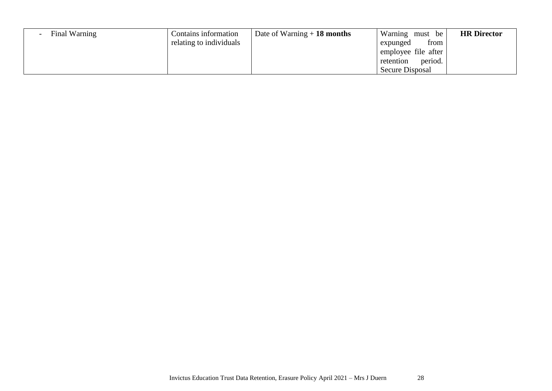| Final Warning | Contains information      | Date of Warning $+18$ months | Warning must be      | <b>HR</b> Director |
|---------------|---------------------------|------------------------------|----------------------|--------------------|
|               | I relating to individuals |                              | from<br>expunged     |                    |
|               |                           |                              | employee file after  |                    |
|               |                           |                              | period.<br>retention |                    |
|               |                           |                              | Secure Disposal      |                    |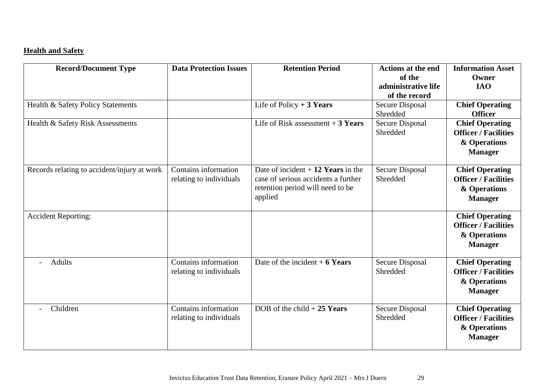# **Health and Safety**

| <b>Record/Document Type</b>                 | <b>Data Protection Issues</b>                   | <b>Retention Period</b>                                                                                                   | <b>Actions at the end</b><br>of the<br>administrative life<br>of the record | <b>Information Asset</b><br>Owner<br><b>IAO</b>                                         |
|---------------------------------------------|-------------------------------------------------|---------------------------------------------------------------------------------------------------------------------------|-----------------------------------------------------------------------------|-----------------------------------------------------------------------------------------|
| Health & Safety Policy Statements           |                                                 | Life of Policy $+3$ Years                                                                                                 | Secure Disposal<br>Shredded                                                 | <b>Chief Operating</b><br><b>Officer</b>                                                |
| Health & Safety Risk Assessments            |                                                 | Life of Risk assessment $+3$ Years                                                                                        | <b>Secure Disposal</b><br>Shredded                                          | <b>Chief Operating</b><br><b>Officer / Facilities</b><br>& Operations<br><b>Manager</b> |
| Records relating to accident/injury at work | Contains information<br>relating to individuals | Date of incident $+12$ Years in the<br>case of serious accidents a further<br>retention period will need to be<br>applied | <b>Secure Disposal</b><br>Shredded                                          | <b>Chief Operating</b><br><b>Officer / Facilities</b><br>& Operations<br><b>Manager</b> |
| <b>Accident Reporting:</b>                  |                                                 |                                                                                                                           |                                                                             | <b>Chief Operating</b><br><b>Officer / Facilities</b><br>& Operations<br><b>Manager</b> |
| <b>Adults</b>                               | Contains information<br>relating to individuals | Date of the incident $+6$ Years                                                                                           | Secure Disposal<br>Shredded                                                 | <b>Chief Operating</b><br><b>Officer / Facilities</b><br>& Operations<br><b>Manager</b> |
| Children                                    | Contains information<br>relating to individuals | DOB of the child $+25$ Years                                                                                              | Secure Disposal<br>Shredded                                                 | <b>Chief Operating</b><br><b>Officer / Facilities</b><br>& Operations<br><b>Manager</b> |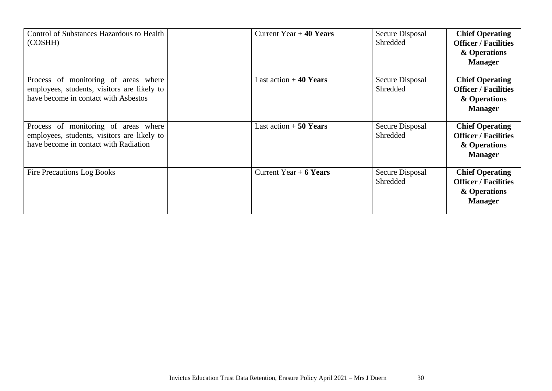| Control of Substances Hazardous to Health<br>(COSHH)                                                                         | Current Year $+$ 40 Years | Secure Disposal<br>Shredded | <b>Chief Operating</b><br><b>Officer / Facilities</b><br>& Operations<br><b>Manager</b> |
|------------------------------------------------------------------------------------------------------------------------------|---------------------------|-----------------------------|-----------------------------------------------------------------------------------------|
| Process of monitoring of areas where<br>employees, students, visitors are likely to<br>have become in contact with Asbestos  | Last action $+40$ Years   | Secure Disposal<br>Shredded | <b>Chief Operating</b><br><b>Officer / Facilities</b><br>& Operations<br><b>Manager</b> |
| Process of monitoring of areas where<br>employees, students, visitors are likely to<br>have become in contact with Radiation | Last action $+50$ Years   | Secure Disposal<br>Shredded | <b>Chief Operating</b><br><b>Officer / Facilities</b><br>& Operations<br><b>Manager</b> |
| <b>Fire Precautions Log Books</b>                                                                                            | Current Year $+ 6$ Years  | Secure Disposal<br>Shredded | <b>Chief Operating</b><br><b>Officer / Facilities</b><br>& Operations<br><b>Manager</b> |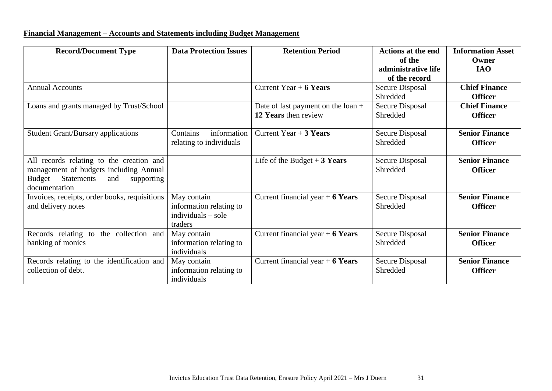# **Financial Management – Accounts and Statements including Budget Management**

| <b>Record/Document Type</b>                                                                                                                      | <b>Data Protection Issues</b>                                             | <b>Retention Period</b>                                    | <b>Actions at the end</b><br>of the<br>administrative life<br>of the record | <b>Information Asset</b><br>Owner<br><b>IAO</b> |
|--------------------------------------------------------------------------------------------------------------------------------------------------|---------------------------------------------------------------------------|------------------------------------------------------------|-----------------------------------------------------------------------------|-------------------------------------------------|
| <b>Annual Accounts</b>                                                                                                                           |                                                                           | Current Year $+ 6$ Years                                   | Secure Disposal<br>Shredded                                                 | <b>Chief Finance</b><br><b>Officer</b>          |
| Loans and grants managed by Trust/School                                                                                                         |                                                                           | Date of last payment on the loan +<br>12 Years then review | Secure Disposal<br>Shredded                                                 | <b>Chief Finance</b><br><b>Officer</b>          |
| <b>Student Grant/Bursary applications</b>                                                                                                        | Contains<br>information<br>relating to individuals                        | Current Year $+3$ Years                                    | Secure Disposal<br>Shredded                                                 | <b>Senior Finance</b><br><b>Officer</b>         |
| All records relating to the creation and<br>management of budgets including Annual<br>Statements<br>Budget<br>and<br>supporting<br>documentation |                                                                           | Life of the Budget $+3$ Years                              | Secure Disposal<br>Shredded                                                 | <b>Senior Finance</b><br><b>Officer</b>         |
| Invoices, receipts, order books, requisitions<br>and delivery notes                                                                              | May contain<br>information relating to<br>$individuals - sole$<br>traders | Current financial year $+ 6$ Years                         | Secure Disposal<br>Shredded                                                 | <b>Senior Finance</b><br><b>Officer</b>         |
| Records relating to the collection and<br>banking of monies                                                                                      | May contain<br>information relating to<br>individuals                     | Current financial year $+ 6$ Years                         | <b>Secure Disposal</b><br>Shredded                                          | <b>Senior Finance</b><br><b>Officer</b>         |
| Records relating to the identification and<br>collection of debt.                                                                                | May contain<br>information relating to<br>individuals                     | Current financial year $+ 6$ Years                         | Secure Disposal<br>Shredded                                                 | <b>Senior Finance</b><br><b>Officer</b>         |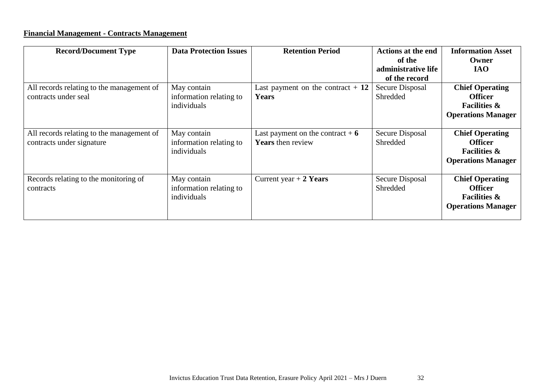# **Financial Management - Contracts Management**

| <b>Record/Document Type</b>                                            | <b>Data Protection Issues</b>                         | <b>Retention Period</b>                                        | <b>Actions at the end</b><br>of the<br>administrative life<br>of the record | <b>Information Asset</b><br>Owner<br><b>IAO</b>                                                  |
|------------------------------------------------------------------------|-------------------------------------------------------|----------------------------------------------------------------|-----------------------------------------------------------------------------|--------------------------------------------------------------------------------------------------|
| All records relating to the management of<br>contracts under seal      | May contain<br>information relating to<br>individuals | Last payment on the contract $+12$<br><b>Years</b>             | Secure Disposal<br>Shredded                                                 | <b>Chief Operating</b><br><b>Officer</b><br><b>Facilities &amp;</b><br><b>Operations Manager</b> |
| All records relating to the management of<br>contracts under signature | May contain<br>information relating to<br>individuals | Last payment on the contract $+ 6$<br><b>Years</b> then review | Secure Disposal<br>Shredded                                                 | <b>Chief Operating</b><br><b>Officer</b><br><b>Facilities &amp;</b><br><b>Operations Manager</b> |
| Records relating to the monitoring of<br>contracts                     | May contain<br>information relating to<br>individuals | Current year $+2$ Years                                        | Secure Disposal<br>Shredded                                                 | <b>Chief Operating</b><br><b>Officer</b><br><b>Facilities &amp;</b><br><b>Operations Manager</b> |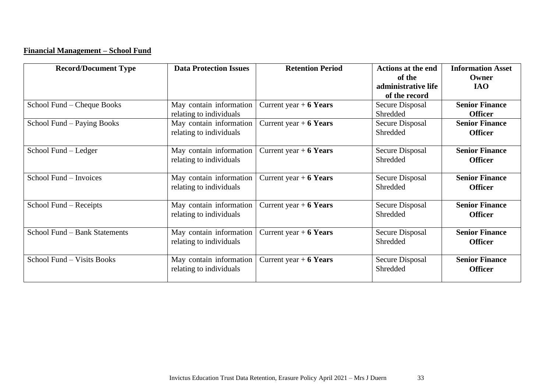# **Financial Management – School Fund**

| <b>Record/Document Type</b>   | <b>Data Protection Issues</b>                      | <b>Retention Period</b>  | <b>Actions at the end</b>     | <b>Information Asset</b>                |
|-------------------------------|----------------------------------------------------|--------------------------|-------------------------------|-----------------------------------------|
|                               |                                                    |                          | of the<br>administrative life | Owner<br><b>IAO</b>                     |
|                               |                                                    |                          | of the record                 |                                         |
| School Fund – Cheque Books    | May contain information                            | Current year $+ 6$ Years | Secure Disposal               | <b>Senior Finance</b>                   |
|                               | relating to individuals                            |                          | Shredded                      | <b>Officer</b>                          |
| School Fund – Paying Books    | May contain information                            | Current year $+ 6$ Years | Secure Disposal               | <b>Senior Finance</b>                   |
|                               | relating to individuals                            |                          | Shredded                      | <b>Officer</b>                          |
| School Fund – Ledger          | May contain information<br>relating to individuals | Current year $+ 6$ Years | Secure Disposal<br>Shredded   | <b>Senior Finance</b><br><b>Officer</b> |
| School Fund - Invoices        | May contain information<br>relating to individuals | Current year $+ 6$ Years | Secure Disposal<br>Shredded   | <b>Senior Finance</b><br><b>Officer</b> |
| School Fund – Receipts        | May contain information<br>relating to individuals | Current year $+ 6$ Years | Secure Disposal<br>Shredded   | <b>Senior Finance</b><br><b>Officer</b> |
| School Fund – Bank Statements | May contain information<br>relating to individuals | Current year $+ 6$ Years | Secure Disposal<br>Shredded   | <b>Senior Finance</b><br><b>Officer</b> |
| School Fund - Visits Books    | May contain information<br>relating to individuals | Current year $+ 6$ Years | Secure Disposal<br>Shredded   | <b>Senior Finance</b><br><b>Officer</b> |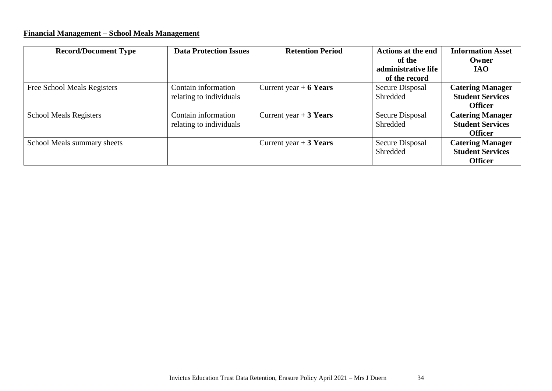# **Financial Management – School Meals Management**

| <b>Record/Document Type</b>   | <b>Data Protection Issues</b>                  | <b>Retention Period</b>  | <b>Actions at the end</b><br>of the<br>administrative life<br>of the record | <b>Information Asset</b><br>Owner<br><b>IAO</b>                      |
|-------------------------------|------------------------------------------------|--------------------------|-----------------------------------------------------------------------------|----------------------------------------------------------------------|
| Free School Meals Registers   | Contain information<br>relating to individuals | Current year $+ 6$ Years | Secure Disposal<br>Shredded                                                 | <b>Catering Manager</b><br><b>Student Services</b><br><b>Officer</b> |
| <b>School Meals Registers</b> | Contain information<br>relating to individuals | Current year $+3$ Years  | Secure Disposal<br>Shredded                                                 | <b>Catering Manager</b><br><b>Student Services</b><br><b>Officer</b> |
| School Meals summary sheets   |                                                | Current year $+3$ Years  | Secure Disposal<br>Shredded                                                 | <b>Catering Manager</b><br><b>Student Services</b><br><b>Officer</b> |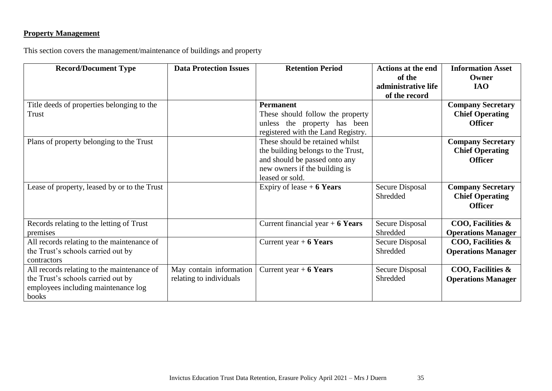# **Property Management**

This section covers the management/maintenance of buildings and property

| <b>Record/Document Type</b>                                                                                                      | <b>Data Protection Issues</b>                      | <b>Retention Period</b>                                                                                                                                    | <b>Actions at the end</b><br>of the<br>administrative life<br>of the record | <b>Information Asset</b><br>Owner<br><b>IAO</b>                      |
|----------------------------------------------------------------------------------------------------------------------------------|----------------------------------------------------|------------------------------------------------------------------------------------------------------------------------------------------------------------|-----------------------------------------------------------------------------|----------------------------------------------------------------------|
| Title deeds of properties belonging to the<br>Trust                                                                              |                                                    | <b>Permanent</b><br>These should follow the property<br>unless the property has been<br>registered with the Land Registry.                                 |                                                                             | <b>Company Secretary</b><br><b>Chief Operating</b><br><b>Officer</b> |
| Plans of property belonging to the Trust                                                                                         |                                                    | These should be retained whilst<br>the building belongs to the Trust,<br>and should be passed onto any<br>new owners if the building is<br>leased or sold. |                                                                             | <b>Company Secretary</b><br><b>Chief Operating</b><br><b>Officer</b> |
| Lease of property, leased by or to the Trust                                                                                     |                                                    | Expiry of lease $+6$ Years                                                                                                                                 | Secure Disposal<br>Shredded                                                 | <b>Company Secretary</b><br><b>Chief Operating</b><br><b>Officer</b> |
| Records relating to the letting of Trust<br>premises                                                                             |                                                    | Current financial year $+ 6$ Years                                                                                                                         | Secure Disposal<br>Shredded                                                 | COO, Facilities &<br><b>Operations Manager</b>                       |
| All records relating to the maintenance of<br>the Trust's schools carried out by<br>contractors                                  |                                                    | Current year $+ 6$ Years                                                                                                                                   | Secure Disposal<br>Shredded                                                 | COO, Facilities &<br><b>Operations Manager</b>                       |
| All records relating to the maintenance of<br>the Trust's schools carried out by<br>employees including maintenance log<br>books | May contain information<br>relating to individuals | Current year $+ 6$ Years                                                                                                                                   | Secure Disposal<br>Shredded                                                 | COO, Facilities &<br><b>Operations Manager</b>                       |